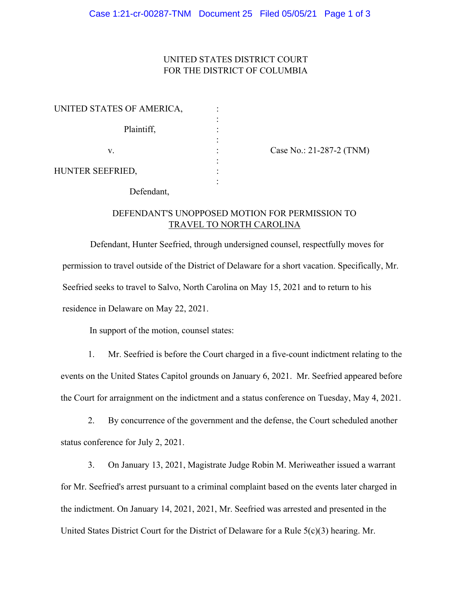### UNITED STATES DISTRICT COURT FOR THE DISTRICT OF COLUMBIA

| UNITED STATES OF AMERICA, |  |
|---------------------------|--|
|                           |  |
| Plaintiff,                |  |
|                           |  |
| V.                        |  |
|                           |  |
| HUNTER SEEFRIED,          |  |
|                           |  |

Case No.: 21-287-2 (TNM)

Defendant,

## DEFENDANT'S UNOPPOSED MOTION FOR PERMISSION TO TRAVEL TO NORTH CAROLINA

Defendant, Hunter Seefried, through undersigned counsel, respectfully moves for permission to travel outside of the District of Delaware for a short vacation. Specifically, Mr. Seefried seeks to travel to Salvo, North Carolina on May 15, 2021 and to return to his residence in Delaware on May 22, 2021.

In support of the motion, counsel states:

1. Mr. Seefried is before the Court charged in a five-count indictment relating to the events on the United States Capitol grounds on January 6, 2021. Mr. Seefried appeared before the Court for arraignment on the indictment and a status conference on Tuesday, May 4, 2021.

2. By concurrence of the government and the defense, the Court scheduled another status conference for July 2, 2021.

3. On January 13, 2021, Magistrate Judge Robin M. Meriweather issued a warrant for Mr. Seefried's arrest pursuant to a criminal complaint based on the events later charged in the indictment. On January 14, 2021, 2021, Mr. Seefried was arrested and presented in the United States District Court for the District of Delaware for a Rule 5(c)(3) hearing. Mr.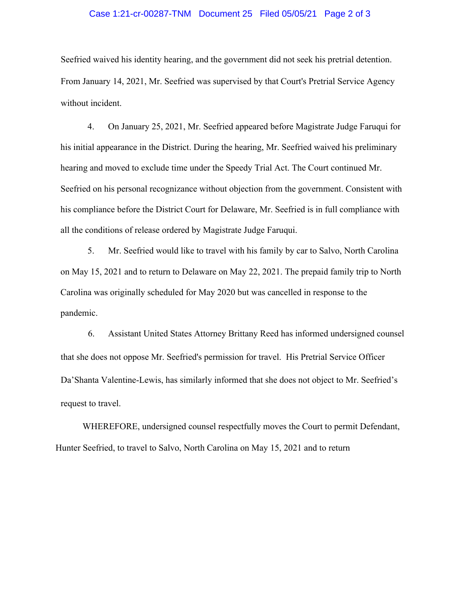#### Case 1:21-cr-00287-TNM Document 25 Filed 05/05/21 Page 2 of 3

Seefried waived his identity hearing, and the government did not seek his pretrial detention. From January 14, 2021, Mr. Seefried was supervised by that Court's Pretrial Service Agency without incident.

4. On January 25, 2021, Mr. Seefried appeared before Magistrate Judge Faruqui for his initial appearance in the District. During the hearing, Mr. Seefried waived his preliminary hearing and moved to exclude time under the Speedy Trial Act. The Court continued Mr. Seefried on his personal recognizance without objection from the government. Consistent with his compliance before the District Court for Delaware, Mr. Seefried is in full compliance with all the conditions of release ordered by Magistrate Judge Faruqui.

5. Mr. Seefried would like to travel with his family by car to Salvo, North Carolina on May 15, 2021 and to return to Delaware on May 22, 2021. The prepaid family trip to North Carolina was originally scheduled for May 2020 but was cancelled in response to the pandemic.

6. Assistant United States Attorney Brittany Reed has informed undersigned counsel that she does not oppose Mr. Seefried's permission for travel. His Pretrial Service Officer Da'Shanta Valentine-Lewis, has similarly informed that she does not object to Mr. Seefried's request to travel.

WHEREFORE, undersigned counsel respectfully moves the Court to permit Defendant, Hunter Seefried, to travel to Salvo, North Carolina on May 15, 2021 and to return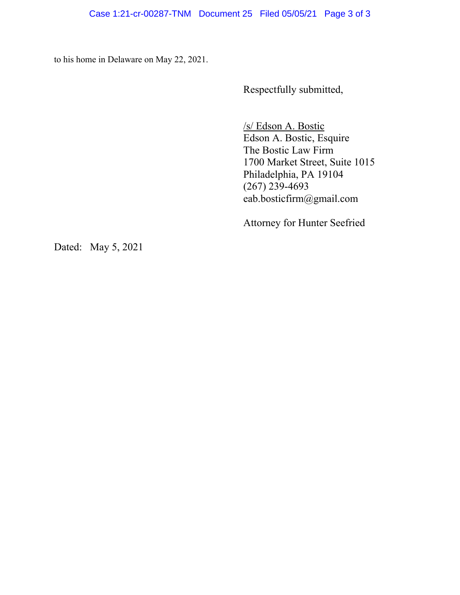to his home in Delaware on May 22, 2021.

Respectfully submitted,

/s/ Edson A. Bostic Edson A. Bostic, Esquire The Bostic Law Firm 1700 Market Street, Suite 1015 Philadelphia, PA 19104 (267) 239-4693 eab.bosticfirm@gmail.com

Attorney for Hunter Seefried

Dated: May 5, 2021